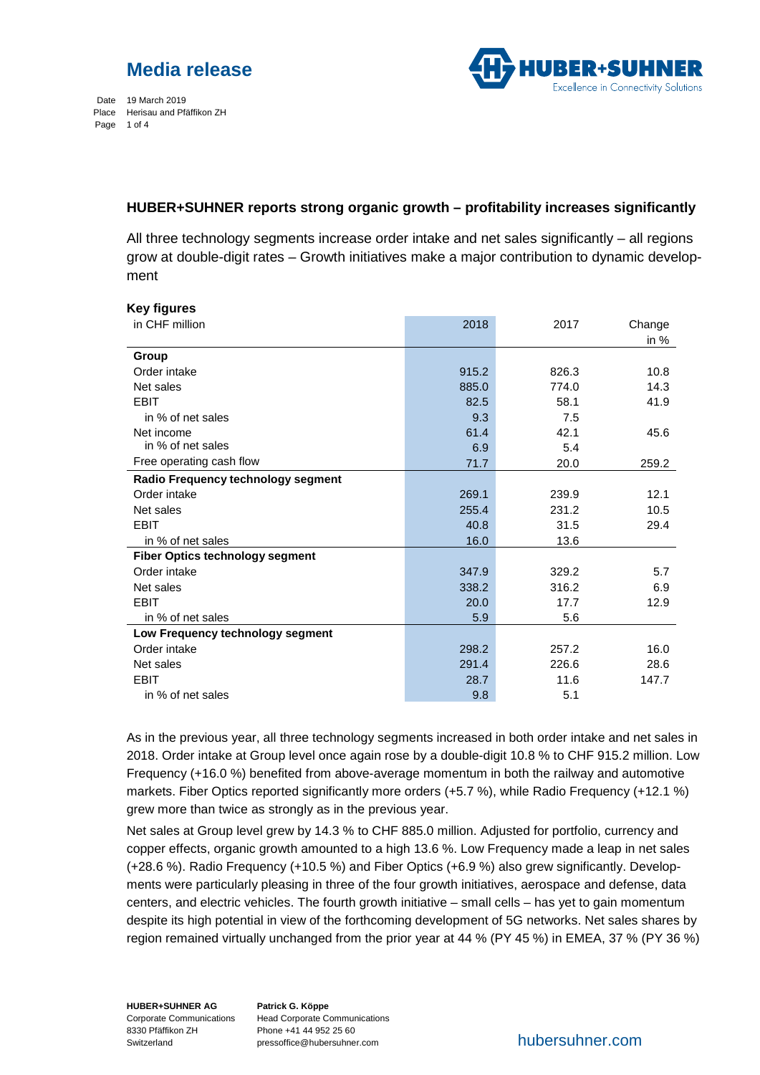

Date 19 March 2019 Place Herisau and Pfäffikon ZH Page 1 of 4

### **HUBER+SUHNER reports strong organic growth – profitability increases significantly**

All three technology segments increase order intake and net sales significantly – all regions grow at double-digit rates – Growth initiatives make a major contribution to dynamic development

| <b>Key figures</b>                     |       |       |        |
|----------------------------------------|-------|-------|--------|
| in CHF million                         | 2018  | 2017  | Change |
|                                        |       |       | in $%$ |
| Group                                  |       |       |        |
| Order intake                           | 915.2 | 826.3 | 10.8   |
| Net sales                              | 885.0 | 774.0 | 14.3   |
| <b>EBIT</b>                            | 82.5  | 58.1  | 41.9   |
| in % of net sales                      | 9.3   | 7.5   |        |
| Net income                             | 61.4  | 42.1  | 45.6   |
| in % of net sales                      | 6.9   | 5.4   |        |
| Free operating cash flow               | 71.7  | 20.0  | 259.2  |
| Radio Frequency technology segment     |       |       |        |
| Order intake                           | 269.1 | 239.9 | 12.1   |
| Net sales                              | 255.4 | 231.2 | 10.5   |
| <b>EBIT</b>                            | 40.8  | 31.5  | 29.4   |
| in % of net sales                      | 16.0  | 13.6  |        |
| <b>Fiber Optics technology segment</b> |       |       |        |
| Order intake                           | 347.9 | 329.2 | 5.7    |
| Net sales                              | 338.2 | 316.2 | 6.9    |
| <b>EBIT</b>                            | 20.0  | 17.7  | 12.9   |
| in % of net sales                      | 5.9   | 5.6   |        |
| Low Frequency technology segment       |       |       |        |
| Order intake                           | 298.2 | 257.2 | 16.0   |
| Net sales                              | 291.4 | 226.6 | 28.6   |
| <b>EBIT</b>                            | 28.7  | 11.6  | 147.7  |
| in % of net sales                      | 9.8   | 5.1   |        |

As in the previous year, all three technology segments increased in both order intake and net sales in 2018. Order intake at Group level once again rose by a double-digit 10.8 % to CHF 915.2 million. Low Frequency (+16.0 %) benefited from above-average momentum in both the railway and automotive markets. Fiber Optics reported significantly more orders (+5.7 %), while Radio Frequency (+12.1 %) grew more than twice as strongly as in the previous year.

Net sales at Group level grew by 14.3 % to CHF 885.0 million. Adjusted for portfolio, currency and copper effects, organic growth amounted to a high 13.6 %. Low Frequency made a leap in net sales (+28.6 %). Radio Frequency (+10.5 %) and Fiber Optics (+6.9 %) also grew significantly. Developments were particularly pleasing in three of the four growth initiatives, aerospace and defense, data centers, and electric vehicles. The fourth growth initiative – small cells – has yet to gain momentum despite its high potential in view of the forthcoming development of 5G networks. Net sales shares by region remained virtually unchanged from the prior year at 44 % (PY 45 %) in EMEA, 37 % (PY 36 %)

**HUBER+SUHNER AG** Corporate Communications 8330 Pfäffikon ZH Switzerland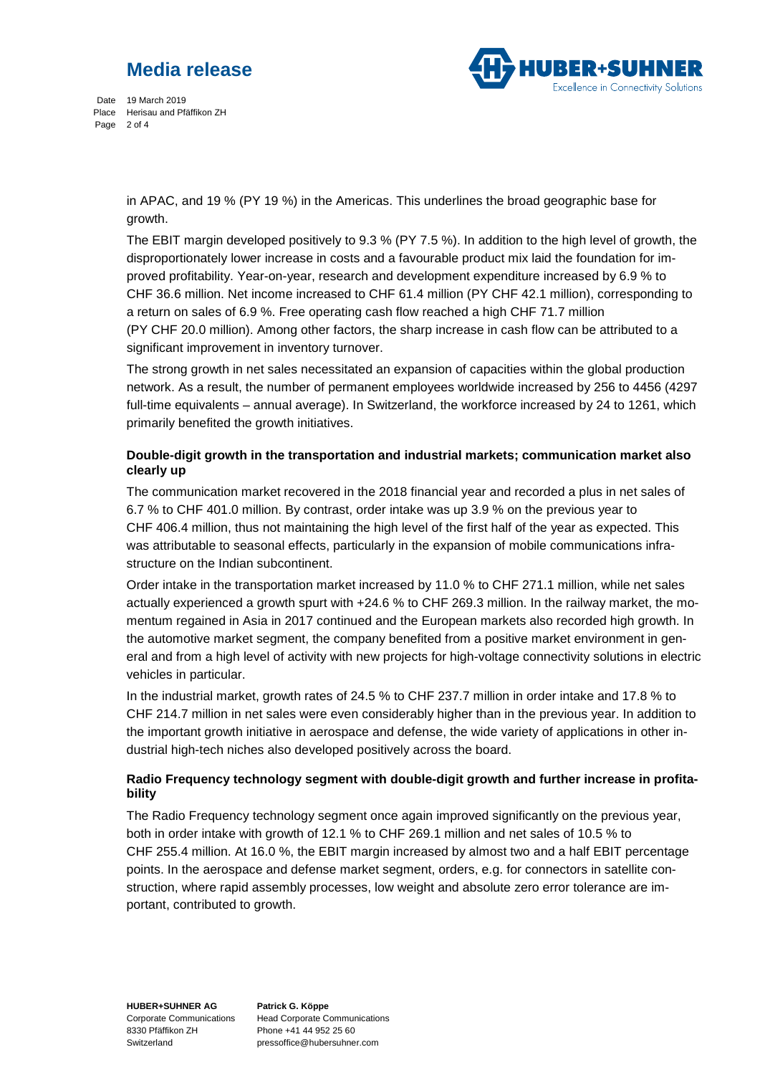## **Media release**



Date 19 March 2019 Place Herisau and Pfäffikon ZH Page 2 of 4

> in APAC, and 19 % (PY 19 %) in the Americas. This underlines the broad geographic base for growth.

The EBIT margin developed positively to 9.3 % (PY 7.5 %). In addition to the high level of growth, the disproportionately lower increase in costs and a favourable product mix laid the foundation for improved profitability. Year-on-year, research and development expenditure increased by 6.9 % to CHF 36.6 million. Net income increased to CHF 61.4 million (PY CHF 42.1 million), corresponding to a return on sales of 6.9 %. Free operating cash flow reached a high CHF 71.7 million (PY CHF 20.0 million). Among other factors, the sharp increase in cash flow can be attributed to a significant improvement in inventory turnover.

The strong growth in net sales necessitated an expansion of capacities within the global production network. As a result, the number of permanent employees worldwide increased by 256 to 4456 (4297 full-time equivalents – annual average). In Switzerland, the workforce increased by 24 to 1261, which primarily benefited the growth initiatives.

#### **Double-digit growth in the transportation and industrial markets; communication market also clearly up**

The communication market recovered in the 2018 financial year and recorded a plus in net sales of 6.7 % to CHF 401.0 million. By contrast, order intake was up 3.9 % on the previous year to CHF 406.4 million, thus not maintaining the high level of the first half of the year as expected. This was attributable to seasonal effects, particularly in the expansion of mobile communications infrastructure on the Indian subcontinent.

Order intake in the transportation market increased by 11.0 % to CHF 271.1 million, while net sales actually experienced a growth spurt with +24.6 % to CHF 269.3 million. In the railway market, the momentum regained in Asia in 2017 continued and the European markets also recorded high growth. In the automotive market segment, the company benefited from a positive market environment in general and from a high level of activity with new projects for high-voltage connectivity solutions in electric vehicles in particular.

In the industrial market, growth rates of 24.5 % to CHF 237.7 million in order intake and 17.8 % to CHF 214.7 million in net sales were even considerably higher than in the previous year. In addition to the important growth initiative in aerospace and defense, the wide variety of applications in other industrial high-tech niches also developed positively across the board.

#### **Radio Frequency technology segment with double-digit growth and further increase in profitability**

The Radio Frequency technology segment once again improved significantly on the previous year, both in order intake with growth of 12.1 % to CHF 269.1 million and net sales of 10.5 % to CHF 255.4 million. At 16.0 %, the EBIT margin increased by almost two and a half EBIT percentage points. In the aerospace and defense market segment, orders, e.g. for connectors in satellite construction, where rapid assembly processes, low weight and absolute zero error tolerance are important, contributed to growth.

**HUBER+SUHNER AG** Corporate Communications 8330 Pfäffikon ZH Switzerland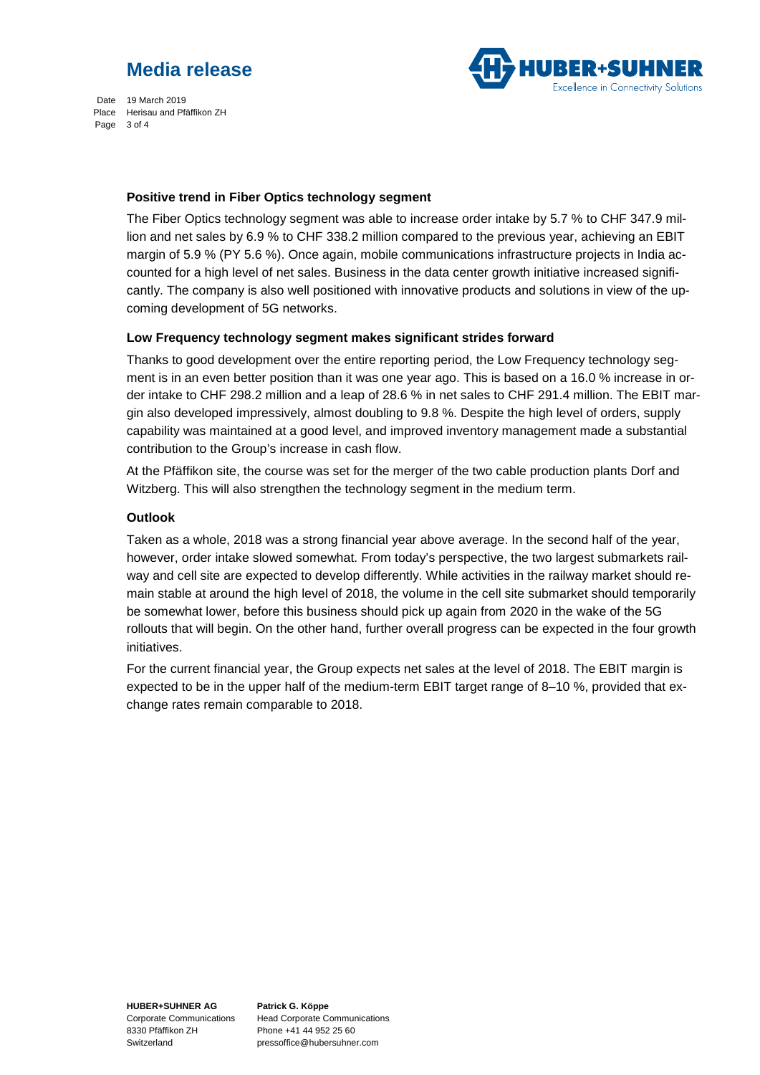# **Media release**



Date 19 March 2019 Place Herisau and Pfäffikon ZH Page 3 of 4

#### **Positive trend in Fiber Optics technology segment**

The Fiber Optics technology segment was able to increase order intake by 5.7 % to CHF 347.9 million and net sales by 6.9 % to CHF 338.2 million compared to the previous year, achieving an EBIT margin of 5.9 % (PY 5.6 %). Once again, mobile communications infrastructure projects in India accounted for a high level of net sales. Business in the data center growth initiative increased significantly. The company is also well positioned with innovative products and solutions in view of the upcoming development of 5G networks.

#### **Low Frequency technology segment makes significant strides forward**

Thanks to good development over the entire reporting period, the Low Frequency technology segment is in an even better position than it was one year ago. This is based on a 16.0 % increase in order intake to CHF 298.2 million and a leap of 28.6 % in net sales to CHF 291.4 million. The EBIT margin also developed impressively, almost doubling to 9.8 %. Despite the high level of orders, supply capability was maintained at a good level, and improved inventory management made a substantial contribution to the Group's increase in cash flow.

At the Pfäffikon site, the course was set for the merger of the two cable production plants Dorf and Witzberg. This will also strengthen the technology segment in the medium term.

#### **Outlook**

Taken as a whole, 2018 was a strong financial year above average. In the second half of the year, however, order intake slowed somewhat. From today's perspective, the two largest submarkets railway and cell site are expected to develop differently. While activities in the railway market should remain stable at around the high level of 2018, the volume in the cell site submarket should temporarily be somewhat lower, before this business should pick up again from 2020 in the wake of the 5G rollouts that will begin. On the other hand, further overall progress can be expected in the four growth initiatives.

For the current financial year, the Group expects net sales at the level of 2018. The EBIT margin is expected to be in the upper half of the medium-term EBIT target range of 8–10 %, provided that exchange rates remain comparable to 2018.

**HUBER+SUHNER AG** Corporate Communications 8330 Pfäffikon ZH Switzerland